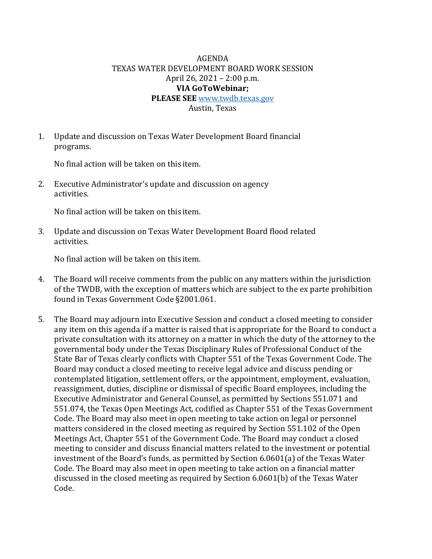## AGENDA TEXAS WATER DEVELOPMENT BOARD WORK SESSION April 26, 2021 – 2:00 p.m. **VIA GoToWebinar; PLEASE SEE** [www.twdb.texas.gov](http://www.twdb.texas.gov/) Austin, Texas

1. Update and discussion on Texas Water Development Board financial

programs.

No final action will be taken on this item.

2. Executive Administrator's update and discussion on agency activities.

No final action will be taken on this item.

3. Update and discussion on Texas Water Development Board flood related activities.

No final action will be taken on this item.

- 4. The Board will receive comments from the public on any matters within the jurisdiction of the TWDB, with the exception of matters which are subject to the ex parte prohibition found in Texas Government Code §2001.061.
- 5. The Board may adjourn into Executive Session and conduct a closed meeting to consider any item on this agenda if a matter is raised that is appropriate for the Board to conduct a private consultation with its attorney on a matter in which the duty of the attorney to the governmental body under the Texas Disciplinary Rules of Professional Conduct of the State Bar of Texas clearly conflicts with Chapter 551 of the Texas Government Code. The Board may conduct a closed meeting to receive legal advice and discuss pending or contemplated litigation, settlement offers, or the appointment, employment, evaluation, reassignment, duties, discipline or dismissal of specific Board employees, including the Executive Administrator and General Counsel, as permitted by Sections 551.071 and 551.074, the Texas Open Meetings Act, codified as Chapter 551 of the Texas Government Code. The Board may also meet in open meeting to take action on legal or personnel matters considered in the closed meeting as required by Section 551.102 of the Open Meetings Act, Chapter 551 of the Government Code. The Board may conduct a closed meeting to consider and discuss financial matters related to the investment or potential investment of the Board's funds, as permitted by Section 6.0601(a) of the Texas Water Code. The Board may also meet in open meeting to take action on a financial matter discussed in the closed meeting as required by Section 6.0601(b) of the Texas Water Code.